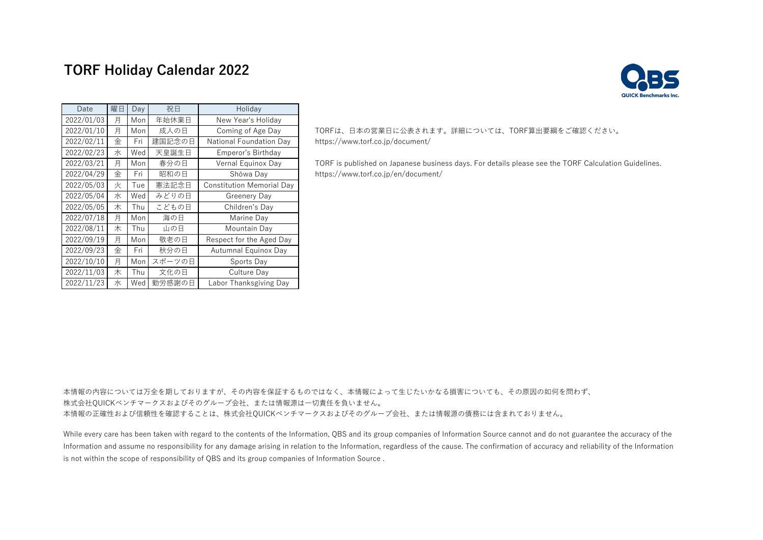# **TORF Holiday Calendar 2022**



| Date       | 曜日 | Day | 祝日     | Holiday                          |  |  |
|------------|----|-----|--------|----------------------------------|--|--|
| 2022/01/03 | 月  | Mon | 年始休業日  | New Year's Holiday               |  |  |
| 2022/01/10 | 月  | Mon | 成人の日   | Coming of Age Day                |  |  |
| 2022/02/11 | 金  | Fri | 建国記念の日 | National Foundation Day          |  |  |
| 2022/02/23 | 水  | Wed | 天皇誕生日  | Emperor's Birthday               |  |  |
| 2022/03/21 | 月  | Mon | 春分の日   | Vernal Equinox Day               |  |  |
| 2022/04/29 | 金  | Fri | 昭和の日   | Shōwa Day                        |  |  |
| 2022/05/03 | 火  | Tue | 憲法記念日  | <b>Constitution Memorial Day</b> |  |  |
| 2022/05/04 | 水  | Wed | みどりの日  | Greenery Day                     |  |  |
| 2022/05/05 | 木  | Thu | こどもの日  | Children's Day                   |  |  |
| 2022/07/18 | 月  | Mon | 海の日    | Marine Day                       |  |  |
| 2022/08/11 | 木  | Thu | 山の日    | Mountain Day                     |  |  |
| 2022/09/19 | 月  | Mon | 敬老の日   | Respect for the Aged Day         |  |  |
| 2022/09/23 | 金  | Fri | 秋分の日   | Autumnal Equinox Day             |  |  |
| 2022/10/10 | 月  | Mon | スポーツの日 | Sports Day                       |  |  |
| 2022/11/03 | 木  | Thu | 文化の日   | Culture Day                      |  |  |
| 2022/11/23 | 水  | Wed | 勤労感謝の日 | Labor Thanksgiving Day           |  |  |

### TORFは、日本の営業日に公表されます。詳細については、TORF算出要綱をご確認ください。 https://www.torf.co.jp/document/

TORF is published on Japanese business days. For details please see the TORF Calculation Guidelines. https://www.torf.co.jp/en/document/

本情報の内容については万全を期しておりますが、その内容を保証するものではなく、本情報によって生じたいかなる損害についても、その原因の如何を問わず、 株式会社QUICKベンチマークスおよびそのグループ会社、または情報源は一切責任を負いません。 本情報の正確性および信頼性を確認することは、株式会社QUICKベンチマークスおよびそのグループ会社、または情報源の債務には含まれておりません。

While every care has been taken with regard to the contents of the Information, OBS and its group companies of Information Source cannot and do not guarantee the accuracy of the Information and assume no responsibility for any damage arising in relation to the Information, regardless of the cause. The confirmation of accuracy and reliability of the Information is not within the scope of responsibility of QBS and its group companies of Information Source .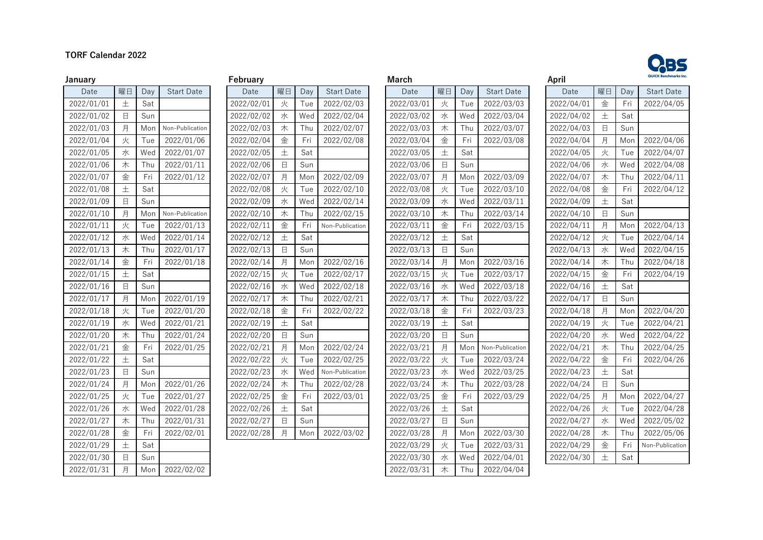## **TORF Calendar 2022**



| Date       | 曜日          | Day | <b>Start Date</b> | Date       | 曜日          | Day | <b>Start Date</b> | Date       | 曜日     | Day | <b>Start Date</b> |
|------------|-------------|-----|-------------------|------------|-------------|-----|-------------------|------------|--------|-----|-------------------|
| 2022/01/01 | 土           | Sat |                   | 2022/02/01 | 火           | Tue | 2022/02/03        | 2022/03/01 | 火      | Tue | 2022/03/03        |
| 2022/01/02 | $\Box$      | Sun |                   | 2022/02/02 | 水           | Wed | 2022/02/04        | 2022/03/02 | 水      | Wed | 2022/03/04        |
| 2022/01/03 | 月           | Mon | Non-Publication   | 2022/02/03 | 木           | Thu | 2022/02/07        | 2022/03/03 | 木      | Thu | 2022/03/07        |
| 2022/01/04 | 火           | Tue | 2022/01/06        | 2022/02/04 | 金           | Fri | 2022/02/08        | 2022/03/04 | 金      | Fri | 2022/03/08        |
| 2022/01/05 | 水           | Wed | 2022/01/07        | 2022/02/05 | $\pm$       | Sat |                   | 2022/03/05 | $\pm$  | Sat |                   |
| 2022/01/06 | 木           | Thu | 2022/01/11        | 2022/02/06 | 日           | Sun |                   | 2022/03/06 | $\Box$ | Sun |                   |
| 2022/01/07 | 金           | Fri | 2022/01/12        | 2022/02/07 | 月           | Mon | 2022/02/09        | 2022/03/07 | 月      | Mon | 2022/03/09        |
| 2022/01/08 | 土           | Sat |                   | 2022/02/08 | 火           | Tue | 2022/02/10        | 2022/03/08 | 火      | Tue | 2022/03/10        |
| 2022/01/09 | $\boxminus$ | Sun |                   | 2022/02/09 | 水           | Wed | 2022/02/14        | 2022/03/09 | 水      | Wed | 2022/03/11        |
| 2022/01/10 | 月           | Mon | Non-Publication   | 2022/02/10 | 木           | Thu | 2022/02/15        | 2022/03/10 | 木      | Thu | 2022/03/14        |
| 2022/01/11 | 火           | Tue | 2022/01/13        | 2022/02/11 | 金           | Fri | Non-Publication   | 2022/03/11 | 金      | Fri | 2022/03/15        |
| 2022/01/12 | 水           | Wed | 2022/01/14        | 2022/02/12 | 土           | Sat |                   | 2022/03/12 | 土      | Sat |                   |
| 2022/01/13 | 木           | Thu | 2022/01/17        | 2022/02/13 | $\Box$      | Sun |                   | 2022/03/13 | $\Box$ | Sun |                   |
| 2022/01/14 | 金           | Fri | 2022/01/18        | 2022/02/14 | 月           | Mon | 2022/02/16        | 2022/03/14 | 月      | Mon | 2022/03/16        |
| 2022/01/15 | 土           | Sat |                   | 2022/02/15 | 火           | Tue | 2022/02/17        | 2022/03/15 | 火      | Tue | 2022/03/17        |
| 2022/01/16 | $\Box$      | Sun |                   | 2022/02/16 | 水           | Wed | 2022/02/18        | 2022/03/16 | 水      | Wed | 2022/03/18        |
| 2022/01/17 | 月           | Mon | 2022/01/19        | 2022/02/17 | 木           | Thu | 2022/02/21        | 2022/03/17 | 木      | Thu | 2022/03/22        |
| 2022/01/18 | 火           | Tue | 2022/01/20        | 2022/02/18 | 金           | Fri | 2022/02/22        | 2022/03/18 | 金      | Fri | 2022/03/23        |
| 2022/01/19 | 水           | Wed | 2022/01/21        | 2022/02/19 | 土           | Sat |                   | 2022/03/19 | 土      | Sat |                   |
| 2022/01/20 | 木           | Thu | 2022/01/24        | 2022/02/20 | 日           | Sun |                   | 2022/03/20 | $\Box$ | Sun |                   |
| 2022/01/21 | 金           | Fri | 2022/01/25        | 2022/02/21 | 月           | Mon | 2022/02/24        | 2022/03/21 | 月      | Mon | Non-Publicatio    |
| 2022/01/22 | $\pm$       | Sat |                   | 2022/02/22 | 火           | Tue | 2022/02/25        | 2022/03/22 | 火      | Tue | 2022/03/24        |
| 2022/01/23 | $\Box$      | Sun |                   | 2022/02/23 | 水           | Wed | Non-Publication   | 2022/03/23 | 水      | Wed | 2022/03/25        |
| 2022/01/24 | 月           | Mon | 2022/01/26        | 2022/02/24 | 木           | Thu | 2022/02/28        | 2022/03/24 | 木      | Thu | 2022/03/28        |
| 2022/01/25 | 火           | Tue | 2022/01/27        | 2022/02/25 | 金           | Fri | 2022/03/01        | 2022/03/25 | 金      | Fri | 2022/03/29        |
| 2022/01/26 | 水           | Wed | 2022/01/28        | 2022/02/26 | 土           | Sat |                   | 2022/03/26 | 土      | Sat |                   |
| 2022/01/27 | 木           | Thu | 2022/01/31        | 2022/02/27 | $\boxminus$ | Sun |                   | 2022/03/27 | 日      | Sun |                   |
| 2022/01/28 | 金           | Fri | 2022/02/01        | 2022/02/28 | 月           | Mon | 2022/03/02        | 2022/03/28 | 月      | Mon | 2022/03/30        |
| 2022/01/29 | 土           | Sat |                   |            |             |     |                   | 2022/03/29 | 火      | Tue | 2022/03/31        |
| 2022/01/30 | $\Box$      | Sun |                   |            |             |     |                   | 2022/03/30 | 水      | Wed | 2022/04/01        |
| 2022/01/31 | 月           | Mon | 2022/02/02        |            |             |     |                   | 2022/03/31 | 木      | Thu | 2022/04/04        |

| r euruar y |        |     |                   |
|------------|--------|-----|-------------------|
| Date       | 曜日     | Day | <b>Start Date</b> |
| 2022/02/01 | 火      | Tue | 2022/02/03        |
| 2022/02/02 | 水      | Wed | 2022/02/04        |
| 2022/02/03 | 木      | Thu | 2022/02/07        |
| 2022/02/04 | 金      | Fri | 2022/02/08        |
| 2022/02/05 | 土      | Sat |                   |
| 2022/02/06 | 日      | Sun |                   |
| 2022/02/07 | 月      | Mon | 2022/02/09        |
| 2022/02/08 | 火      | Tue | 2022/02/10        |
| 2022/02/09 | 水      | Wed | 2022/02/14        |
| 2022/02/10 | 木      | Thu | 2022/02/1         |
| 2022/02/11 | 金      | Fri | Non-Publicatio    |
| 2022/02/12 | 土      | Sat |                   |
| 2022/02/13 | 日      | Sun |                   |
| 2022/02/14 | 月      | Mon | 2022/02/1         |
| 2022/02/15 | 火      | Tue | 2022/02/1         |
| 2022/02/16 | 水      | Wed | 2022/02/18        |
| 2022/02/17 | 木      | Thu | 2022/02/21        |
| 2022/02/18 | 金      | Fri | 2022/02/22        |
| 2022/02/19 | 土      | Sat |                   |
| 2022/02/20 | $\Box$ | Sun |                   |
| 2022/02/21 | 月      | Mon | 2022/02/24        |
| 2022/02/22 | 火      | Tue | 2022/02/2         |
| 2022/02/23 | 水      | Wed | Non-Publicatio    |
| 2022/02/24 | 木      | Thu | 2022/02/28        |
| 2022/02/25 | 金      | Fri | 2022/03/0         |
| 2022/02/26 | 土      | Sat |                   |
| 2022/02/27 | $\Box$ | Sun |                   |
| 2022/02/28 | 月      | Mon | 2022/03/02        |
|            |        |     |                   |

| January    |        |     |                   | February   |        |     |                   | <b>March</b> |        |     |                   | April      |             |     | <b>QUICK Benchmarks Inc</b> |
|------------|--------|-----|-------------------|------------|--------|-----|-------------------|--------------|--------|-----|-------------------|------------|-------------|-----|-----------------------------|
| Date       | 曜日     | Day | <b>Start Date</b> | Date       | 曜日     | Day | <b>Start Date</b> | Date         | 曜日     | Day | <b>Start Date</b> | Date       | 曜日          | Day | <b>Start Date</b>           |
| 2022/01/01 | 土      | Sat |                   | 2022/02/01 | 火      | Tue | 2022/02/03        | 2022/03/01   | 火      | Tue | 2022/03/03        | 2022/04/01 | 金           | Fri | 2022/04/05                  |
| 2022/01/02 | $\Box$ | Sun |                   | 2022/02/02 | 水      | Wed | 2022/02/04        | 2022/03/02   | 水      | Wed | 2022/03/04        | 2022/04/02 | 土           | Sat |                             |
| 2022/01/03 | 月      | Mon | Non-Publication   | 2022/02/03 | 木      | Thu | 2022/02/07        | 2022/03/03   | 木      | Thu | 2022/03/07        | 2022/04/03 | $\Box$      | Sun |                             |
| 2022/01/04 | 火      | Tue | 2022/01/06        | 2022/02/04 | 金      | Fri | 2022/02/08        | 2022/03/04   | 金      | Fri | 2022/03/08        | 2022/04/04 | 月           | Mon | 2022/04/06                  |
| 2022/01/05 | 水      | Wed | 2022/01/07        | 2022/02/05 | 土      | Sat |                   | 2022/03/05   | 土      | Sat |                   | 2022/04/05 | 火           | Tue | 2022/04/07                  |
| 2022/01/06 | 木      | Thu | 2022/01/11        | 2022/02/06 | $\Box$ | Sun |                   | 2022/03/06   | $\Box$ | Sun |                   | 2022/04/06 | 水           | Wed | 2022/04/08                  |
| 2022/01/07 | 金      | Fri | 2022/01/12        | 2022/02/07 | 月      | Mon | 2022/02/09        | 2022/03/07   | 月      | Mon | 2022/03/09        | 2022/04/07 | 木           | Thu | 2022/04/11                  |
| 2022/01/08 | 土      | Sat |                   | 2022/02/08 | 火      | Tue | 2022/02/10        | 2022/03/08   | 火      | Tue | 2022/03/10        | 2022/04/08 | 金           | Fri | 2022/04/12                  |
| 2022/01/09 | $\Box$ | Sun |                   | 2022/02/09 | 水      | Wed | 2022/02/14        | 2022/03/09   | 水      | Wed | 2022/03/11        | 2022/04/09 | 土           | Sat |                             |
| 2022/01/10 | 月      | Mon | Non-Publication   | 2022/02/10 | 木      | Thu | 2022/02/15        | 2022/03/10   | 木      | Thu | 2022/03/14        | 2022/04/10 | $\Box$      | Sun |                             |
| 2022/01/11 | 火      | Tue | 2022/01/13        | 2022/02/11 | 金      | Fri | Non-Publication   | 2022/03/11   | 金      | Fri | 2022/03/15        | 2022/04/11 | 月           | Mon | 2022/04/13                  |
| 2022/01/12 | 水      | Wed | 2022/01/14        | 2022/02/12 | 土      | Sat |                   | 2022/03/12   | 土      | Sat |                   | 2022/04/12 | 火           | Tue | 2022/04/14                  |
| 2022/01/13 | 木      | Thu | 2022/01/17        | 2022/02/13 | $\Box$ | Sun |                   | 2022/03/13   | $\Box$ | Sun |                   | 2022/04/13 | 水           | Wed | 2022/04/15                  |
| 2022/01/14 | 金      | Fri | 2022/01/18        | 2022/02/14 | 月      | Mon | 2022/02/16        | 2022/03/14   | 月      | Mon | 2022/03/16        | 2022/04/14 | 木           | Thu | 2022/04/18                  |
| 2022/01/15 | 土      | Sat |                   | 2022/02/15 | 火      | Tue | 2022/02/17        | 2022/03/15   | 火      | Tue | 2022/03/17        | 2022/04/15 | 金           | Fri | 2022/04/19                  |
| 2022/01/16 | $\Box$ | Sun |                   | 2022/02/16 | 水      | Wed | 2022/02/18        | 2022/03/16   | 水      | Wed | 2022/03/18        | 2022/04/16 | 土           | Sat |                             |
| 2022/01/17 | 月      | Mon | 2022/01/19        | 2022/02/17 | 木      | Thu | 2022/02/21        | 2022/03/17   | 木      | Thu | 2022/03/22        | 2022/04/17 | $\boxminus$ | Sun |                             |
| 2022/01/18 | 火      | Tue | 2022/01/20        | 2022/02/18 | 金      | Fri | 2022/02/22        | 2022/03/18   | 金      | Fri | 2022/03/23        | 2022/04/18 | 月           | Mon | 2022/04/20                  |
| 2022/01/19 | 水      | Wed | 2022/01/21        | 2022/02/19 | 土      | Sat |                   | 2022/03/19   | 土      | Sat |                   | 2022/04/19 | 火           | Tue | 2022/04/21                  |
| 2022/01/20 | 木      | Thu | 2022/01/24        | 2022/02/20 | $\Box$ | Sun |                   | 2022/03/20   | $\Box$ | Sun |                   | 2022/04/20 | 水           | Wed | 2022/04/22                  |
| 2022/01/21 | 金      | Fri | 2022/01/25        | 2022/02/21 | 月      | Mon | 2022/02/24        | 2022/03/21   | 月      | Mon | Non-Publication   | 2022/04/21 | 木           | Thu | 2022/04/25                  |
| 2022/01/22 | 土      | Sat |                   | 2022/02/22 | 火      | Tue | 2022/02/25        | 2022/03/22   | 火      | Tue | 2022/03/24        | 2022/04/22 | 金           | Fri | 2022/04/26                  |
| 2022/01/23 | $\Box$ | Sun |                   | 2022/02/23 | 水      | Wed | Non-Publication   | 2022/03/23   | 水      | Wed | 2022/03/25        | 2022/04/23 | 土           | Sat |                             |
| 2022/01/24 | 月      | Mon | 2022/01/26        | 2022/02/24 | 木      | Thu | 2022/02/28        | 2022/03/24   | 木      | Thu | 2022/03/28        | 2022/04/24 | $\boxminus$ | Sun |                             |
| 2022/01/25 | 火      | Tue | 2022/01/27        | 2022/02/25 | 金      | Fri | 2022/03/01        | 2022/03/25   | 金      | Fri | 2022/03/29        | 2022/04/25 | 月           | Mon | 2022/04/27                  |
| 2022/01/26 | 水      | Wed | 2022/01/28        | 2022/02/26 | 土      | Sat |                   | 2022/03/26   | 土      | Sat |                   | 2022/04/26 | 火           | Tue | 2022/04/28                  |
| 2022/01/27 | 木      | Thu | 2022/01/31        | 2022/02/27 | $\Box$ | Sun |                   | 2022/03/27   | $\Box$ | Sun |                   | 2022/04/27 | 水           | Wed | 2022/05/02                  |
| 2022/01/28 | 金      | Fri | 2022/02/01        | 2022/02/28 | 月      | Mon | 2022/03/02        | 2022/03/28   | 月      | Mon | 2022/03/30        | 2022/04/28 | 木           | Thu | 2022/05/06                  |
| 2022/01/29 | 土      | Sat |                   |            |        |     |                   | 2022/03/29   | 火      | Tue | 2022/03/31        | 2022/04/29 | 金           | Fri | Non-Publication             |
| 2022/01/30 | $\Box$ | Sun |                   |            |        |     |                   | 2022/03/30   | 水      | Wed | 2022/04/01        | 2022/04/30 | $^{+}$      | Sat |                             |
| 2022/01/31 | 月      | Mon | 2022/02/02        |            |        |     |                   | 2022/03/31   | 木      | Thu | 2022/04/04        |            |             |     |                             |

| April      |        |     |                   |
|------------|--------|-----|-------------------|
| Date       | 曜日     | Day | <b>Start Date</b> |
| 2022/04/01 | 金      | Fri | 2022/04/05        |
| 2022/04/02 | 土      | Sat |                   |
| 2022/04/03 | $\Box$ | Sun |                   |
| 2022/04/04 | 月      | Mon | 2022/04/06        |
| 2022/04/05 | 火      | Tue | 2022/04/07        |
| 2022/04/06 | 水      | Wed | 2022/04/08        |
| 2022/04/07 | 木      | Thu | 2022/04/11        |
| 2022/04/08 | 金      | Fri | 2022/04/12        |
| 2022/04/09 | $\pm$  | Sat |                   |
| 2022/04/10 | $\Box$ | Sun |                   |
| 2022/04/11 | 月      | Mon | 2022/04/13        |
| 2022/04/12 | 火      | Tue | 2022/04/14        |
| 2022/04/13 | 水      | Wed | 2022/04/15        |
| 2022/04/14 | 木      | Thu | 2022/04/18        |
| 2022/04/15 | 金      | Fri | 2022/04/19        |
| 2022/04/16 | 土      | Sat |                   |
| 2022/04/17 | $\Box$ | Sun |                   |
| 2022/04/18 | 月      | Mon | 2022/04/20        |
| 2022/04/19 | 火      | Tue | 2022/04/21        |
| 2022/04/20 | 水      | Wed | 2022/04/22        |
| 2022/04/21 | 木      | Thu | 2022/04/25        |
| 2022/04/22 | 金      | Fri | 2022/04/26        |
| 2022/04/23 | $^{+}$ | Sat |                   |
| 2022/04/24 | E      | Sun |                   |
| 2022/04/25 | 月      | Mon | 2022/04/27        |
| 2022/04/26 | 火      | Tue | 2022/04/28        |
| 2022/04/27 | 水      | Wed | 2022/05/02        |
| 2022/04/28 | 木      | Thu | 2022/05/06        |
| 2022/04/29 | 金      | Fri | Non-Publication   |
| 2022/04/30 | 土      | Sat |                   |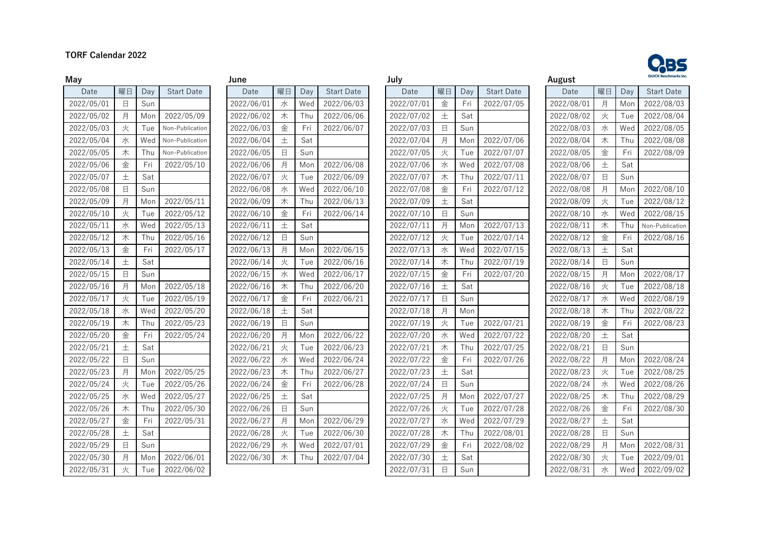### **TORF Calendar 2022**



| June       |        |     |                   |
|------------|--------|-----|-------------------|
| Date       | 曜日     | Day | <b>Start Date</b> |
| 2022/06/01 | 水      | Wed | 2022/06/03        |
| 2022/06/02 | 木      | Thu | 2022/06/06        |
| 2022/06/03 | 金      | Fri | 2022/06/07        |
| 2022/06/04 | 土      | Sat |                   |
| 2022/06/05 | $\Box$ | Sun |                   |
| 2022/06/06 | 月      | Mon | 2022/06/08        |
| 2022/06/07 | 火      | Tue | 2022/06/09        |
| 2022/06/08 | 水      | Wed | 2022/06/10        |
| 2022/06/09 | 木      | Thu | 2022/06/13        |
| 2022/06/10 | 金      | Fri | 2022/06/14        |
| 2022/06/11 | 土      | Sat |                   |
| 2022/06/12 | $\Box$ | Sun |                   |
| 2022/06/13 | 月      | Mon | 2022/06/15        |
| 2022/06/14 | 火      | Tue | 2022/06/16        |
| 2022/06/15 | 水      | Wed | 2022/06/17        |
| 2022/06/16 | 木      | Thu | 2022/06/20        |
| 2022/06/17 | 金      | Fri | 2022/06/21        |
| 2022/06/18 | $\pm$  | Sat |                   |
| 2022/06/19 | 日      | Sun |                   |
| 2022/06/20 | 月      | Mon | 2022/06/22        |
| 2022/06/21 | 火      | Tue | 2022/06/23        |
| 2022/06/22 | 水      | Wed | 2022/06/24        |
| 2022/06/23 | 木      | Thu | 2022/06/27        |
| 2022/06/24 | 金      | Fri | 2022/06/28        |
| 2022/06/25 | 土      | Sat |                   |
| 2022/06/26 | $\Box$ | Sun |                   |
| 2022/06/27 | 月      | Mon | 2022/06/29        |
| 2022/06/28 | 火      | Tue | 2022/06/30        |
| 2022/06/29 | 水      | Wed | 2022/07/01        |
| 2022/06/30 | 木      | Thu | 2022/07/04        |
|            |        |     |                   |

| May        |             |     |                         | June       |        |     |                   | July       |        |     |                   | August     |             |     | <b>QUICK Benchmarks Inc</b> |
|------------|-------------|-----|-------------------------|------------|--------|-----|-------------------|------------|--------|-----|-------------------|------------|-------------|-----|-----------------------------|
| Date       | 曜日          | Day | <b>Start Date</b>       | Date       | 曜日     | Day | <b>Start Date</b> | Date       | 曜日     | Day | <b>Start Date</b> | Date       | 曜日          | Day | <b>Start Date</b>           |
| 2022/05/01 | $\Box$      | Sun |                         | 2022/06/01 | 水      | Wed | 2022/06/03        | 2022/07/01 | 金      | Fri | 2022/07/05        | 2022/08/01 | 月           | Mon | 2022/08/03                  |
| 2022/05/02 | 月           | Mon | $\overline{2022/05/09}$ | 2022/06/02 | 木      | Thu | 2022/06/06        | 2022/07/02 | 土      | Sat |                   | 2022/08/02 | 火           | Tue | 2022/08/04                  |
| 2022/05/03 | 火           | Tue | Non-Publication         | 2022/06/03 | 金      | Fri | 2022/06/07        | 2022/07/03 | 日      | Sun |                   | 2022/08/03 | 水           | Wed | 2022/08/05                  |
| 2022/05/04 | 水           | Wed | Non-Publication         | 2022/06/04 | 土      | Sat |                   | 2022/07/04 | 月      | Mon | 2022/07/06        | 2022/08/04 | 木           | Thu | 2022/08/08                  |
| 2022/05/05 | 木           | Thu | Non-Publication         | 2022/06/05 | $\Box$ | Sun |                   | 2022/07/05 | 火      | Tue | 2022/07/07        | 2022/08/05 | 金           | Fri | 2022/08/09                  |
| 2022/05/06 | 金           | Fri | 2022/05/10              | 2022/06/06 | 月      | Mon | 2022/06/08        | 2022/07/06 | 水      | Wed | 2022/07/08        | 2022/08/06 | 土           | Sat |                             |
| 2022/05/07 | 土           | Sat |                         | 2022/06/07 | 火      | Tue | 2022/06/09        | 2022/07/07 | 木      | Thu | 2022/07/11        | 2022/08/07 | 日           | Sun |                             |
| 2022/05/08 | $\Box$      | Sun |                         | 2022/06/08 | 水      | Wed | 2022/06/10        | 2022/07/08 | 金      | Fri | 2022/07/12        | 2022/08/08 | 月           | Mon | 2022/08/10                  |
| 2022/05/09 | 月           | Mon | 2022/05/11              | 2022/06/09 | 木      | Thu | 2022/06/13        | 2022/07/09 | 土      | Sat |                   | 2022/08/09 | 火           | Tue | 2022/08/12                  |
| 2022/05/10 | 火           | Tue | 2022/05/12              | 2022/06/10 | 金      | Fri | 2022/06/14        | 2022/07/10 | 日      | Sun |                   | 2022/08/10 | 水           | Wed | 2022/08/15                  |
| 2022/05/11 | 水           | Wed | 2022/05/13              | 2022/06/11 | 土      | Sat |                   | 2022/07/11 | 月      | Mon | 2022/07/13        | 2022/08/11 | 木           | Thu | Non-Publication             |
| 2022/05/12 | 木           | Thu | 2022/05/16              | 2022/06/12 | $\Box$ | Sun |                   | 2022/07/12 | 火      | Tue | 2022/07/14        | 2022/08/12 | 金           | Fri | 2022/08/16                  |
| 2022/05/13 | 金           | Fri | 2022/05/17              | 2022/06/13 | 月      | Mon | 2022/06/15        | 2022/07/13 | 水      | Wed | 2022/07/15        | 2022/08/13 | 土           | Sat |                             |
| 2022/05/14 | 土           | Sat |                         | 2022/06/14 | 火      | Tue | 2022/06/16        | 2022/07/14 | 木      | Thu | 2022/07/19        | 2022/08/14 | $\boxminus$ | Sun |                             |
| 2022/05/15 | $\Box$      | Sun |                         | 2022/06/15 | 水      | Wed | 2022/06/17        | 2022/07/15 | 金      | Fri | 2022/07/20        | 2022/08/15 | 月           | Mon | 2022/08/17                  |
| 2022/05/16 | 月           | Mon | 2022/05/18              | 2022/06/16 | 木      | Thu | 2022/06/20        | 2022/07/16 | 土      | Sat |                   | 2022/08/16 | 火           | Tue | 2022/08/18                  |
| 2022/05/17 | 火           | Tue | 2022/05/19              | 2022/06/17 | 金      | Fri | 2022/06/21        | 2022/07/17 | 日      | Sun |                   | 2022/08/17 | 水           | Wed | 2022/08/19                  |
| 2022/05/18 | 水           | Wed | 2022/05/20              | 2022/06/18 | 土      | Sat |                   | 2022/07/18 | 月      | Mon |                   | 2022/08/18 | 木           | Thu | 2022/08/22                  |
| 2022/05/19 | 木           | Thu | 2022/05/23              | 2022/06/19 | $\Box$ | Sun |                   | 2022/07/19 | 火      | Tue | 2022/07/21        | 2022/08/19 | 金           | Fri | 2022/08/23                  |
| 2022/05/20 | 金           | Fri | 2022/05/24              | 2022/06/20 | 月      | Mon | 2022/06/22        | 2022/07/20 | 水      | Wed | 2022/07/22        | 2022/08/20 | 土           | Sat |                             |
| 2022/05/21 | 土           | Sat |                         | 2022/06/21 | 火      | Tue | 2022/06/23        | 2022/07/21 | 木      | Thu | 2022/07/25        | 2022/08/21 | $\Box$      | Sun |                             |
| 2022/05/22 | $\boxminus$ | Sun |                         | 2022/06/22 | 水      | Wed | 2022/06/24        | 2022/07/22 | 金      | Fri | 2022/07/26        | 2022/08/22 | 月           | Mon | 2022/08/24                  |
| 2022/05/23 | 月           | Mon | 2022/05/25              | 2022/06/23 | 木      | Thu | 2022/06/27        | 2022/07/23 | 土      | Sat |                   | 2022/08/23 | 火           | Tue | 2022/08/25                  |
| 2022/05/24 | 火           | Tue | 2022/05/26              | 2022/06/24 | 金      | Fri | 2022/06/28        | 2022/07/24 | 日      | Sun |                   | 2022/08/24 | 水           | Wed | 2022/08/26                  |
| 2022/05/25 | 水           | Wed | 2022/05/27              | 2022/06/25 | 土      | Sat |                   | 2022/07/25 | 月      | Mon | 2022/07/27        | 2022/08/25 | 木           | Thu | 2022/08/29                  |
| 2022/05/26 | 木           | Thu | 2022/05/30              | 2022/06/26 | $\Box$ | Sun |                   | 2022/07/26 | 火      | Tue | 2022/07/28        | 2022/08/26 | 金           | Fri | 2022/08/30                  |
| 2022/05/27 | 金           | Fri | 2022/05/31              | 2022/06/27 | 月      | Mon | 2022/06/29        | 2022/07/27 | 水      | Wed | 2022/07/29        | 2022/08/27 | 土           | Sat |                             |
| 2022/05/28 | 土           | Sat |                         | 2022/06/28 | 火      | Tue | 2022/06/30        | 2022/07/28 | 木      | Thu | 2022/08/01        | 2022/08/28 | $\Box$      | Sun |                             |
| 2022/05/29 | $\boxminus$ | Sun |                         | 2022/06/29 | 水      | Wed | 2022/07/01        | 2022/07/29 | 金      | Fri | 2022/08/02        | 2022/08/29 | 月           | Mon | 2022/08/31                  |
| 2022/05/30 | 月           | Mon | 2022/06/01              | 2022/06/30 | 木      | Thu | 2022/07/04        | 2022/07/30 | 土      | Sat |                   | 2022/08/30 | 火           | Tue | 2022/09/01                  |
| 2022/05/31 | 火           | Tue | 2022/06/02              |            |        |     |                   | 2022/07/31 | $\Box$ | Sun |                   | 2022/08/31 | 水           | Wed | 2022/09/02                  |

| August     |                |     |                   |
|------------|----------------|-----|-------------------|
| Date       | 曜日             | Day | <b>Start Date</b> |
| 2022/08/01 | 月              | Mon | 2022/08/03        |
| 2022/08/02 | 火              | Tue | 2022/08/04        |
| 2022/08/03 | 水              | Wed | 2022/08/05        |
| 2022/08/04 | 木              | Thu | 2022/08/08        |
| 2022/08/05 | 金              | Fri | 2022/08/09        |
| 2022/08/06 | 土              | Sat |                   |
| 2022/08/07 | $\overline{E}$ | Sun |                   |
| 2022/08/08 | 月              | Mon | 2022/08/10        |
| 2022/08/09 | 火              | Tue | 2022/08/12        |
| 2022/08/10 | 水              | Wed | 2022/08/15        |
| 2022/08/11 | 木              | Thu | Non-Publication   |
| 2022/08/12 | 金              | Fri | 2022/08/16        |
| 2022/08/13 | 土              | Sat |                   |
| 2022/08/14 | $\overline{a}$ | Sun |                   |
| 2022/08/15 | 月              | Mon | 2022/08/17        |
| 2022/08/16 | 火              | Tue | 2022/08/18        |
| 2022/08/17 | 水              | Wed | 2022/08/19        |
| 2022/08/18 | 木              | Thu | 2022/08/22        |
| 2022/08/19 | 金              | Fri | 2022/08/23        |
| 2022/08/20 | 土              | Sat |                   |
| 2022/08/21 | $\Box$         | Sun |                   |
| 2022/08/22 | 月              | Mon | 2022/08/24        |
| 2022/08/23 | 火              | Tue | 2022/08/25        |
| 2022/08/24 | 水              | Wed | 2022/08/26        |
| 2022/08/25 | 木              | Thu | 2022/08/29        |
| 2022/08/26 | 金              | Fri | 2022/08/30        |
| 2022/08/27 | 土              | Sat |                   |
| 2022/08/28 | $\Box$         | Sun |                   |
| 2022/08/29 | 月              | Mon | 2022/08/31        |
| 2022/08/30 | 火              | Tue | 2022/09/01        |
| 2022/08/31 | 水              | Wed | 2022/09/02        |